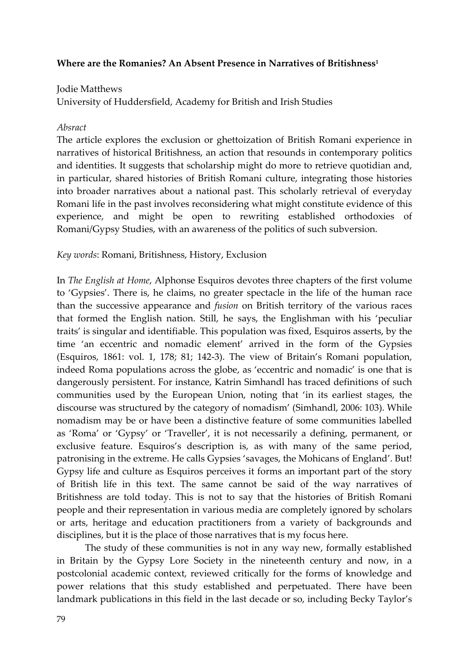# **Where are the Romanies? An Absent Presence in Narratives of Britishness1**

# Jodie Matthews

University of Huddersfield, Academy for British and Irish Studies

### *Absract*

The article explores the exclusion or ghettoization of British Romani experience in narratives of historical Britishness, an action that resounds in contemporary politics and identities. It suggests that scholarship might do more to retrieve quotidian and, in particular, shared histories of British Romani culture, integrating those histories into broader narratives about a national past. This scholarly retrieval of everyday Romani life in the past involves reconsidering what might constitute evidence of this experience, and might be open to rewriting established orthodoxies of Romani/Gypsy Studies, with an awareness of the politics of such subversion.

# *Key words*: Romani, Britishness, History, Exclusion

In *The English at Home*, Alphonse Esquiros devotes three chapters of the first volume to 'Gypsies'. There is, he claims, no greater spectacle in the life of the human race than the successive appearance and *fusion* on British territory of the various races that formed the English nation. Still, he says, the Englishman with his 'peculiar traits' is singular and identifiable. This population was fixed, Esquiros asserts, by the time 'an eccentric and nomadic element' arrived in the form of the Gypsies (Esquiros, 1861: vol. 1, 178; 81; 142‐3). The view of Britain's Romani population, indeed Roma populations across the globe, as 'eccentric and nomadic' is one that is dangerously persistent. For instance, Katrin Simhandl has traced definitions of such communities used by the European Union, noting that 'in its earliest stages, the discourse was structured by the category of nomadism' (Simhandl, 2006: 103). While nomadism may be or have been a distinctive feature of some communities labelled as 'Roma' or 'Gypsy' or 'Traveller', it is not necessarily a defining, permanent, or exclusive feature. Esquiros's description is, as with many of the same period, patronising in the extreme. He calls Gypsies 'savages, the Mohicans of England'. But! Gypsy life and culture as Esquiros perceives it forms an important part of the story of British life in this text. The same cannot be said of the way narratives of Britishness are told today. This is not to say that the histories of British Romani people and their representation in various media are completely ignored by scholars or arts, heritage and education practitioners from a variety of backgrounds and disciplines, but it is the place of those narratives that is my focus here.

The study of these communities is not in any way new, formally established in Britain by the Gypsy Lore Society in the nineteenth century and now, in a postcolonial academic context, reviewed critically for the forms of knowledge and power relations that this study established and perpetuated. There have been landmark publications in this field in the last decade or so, including Becky Taylor's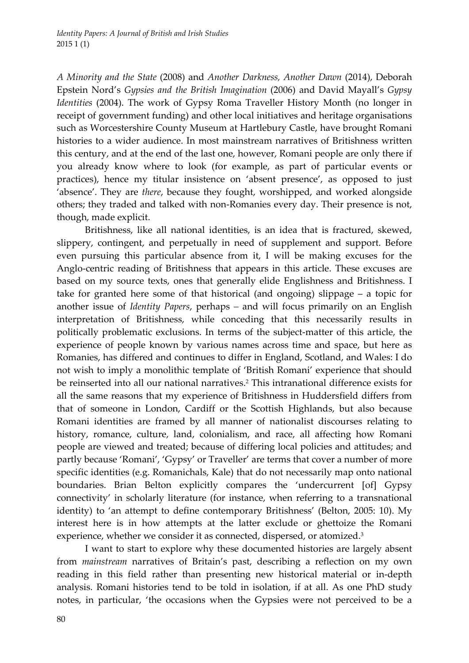*A Minority and the State* (2008) and *Another Darkness, Another Dawn* (2014), Deborah Epstein Nord's *Gypsies and the British Imagination* (2006) and David Mayall's *Gypsy Identities* (2004). The work of Gypsy Roma Traveller History Month (no longer in receipt of government funding) and other local initiatives and heritage organisations such as Worcestershire County Museum at Hartlebury Castle, have brought Romani histories to a wider audience. In most mainstream narratives of Britishness written this century, and at the end of the last one, however, Romani people are only there if you already know where to look (for example, as part of particular events or practices), hence my titular insistence on 'absent presence', as opposed to just 'absence'. They are *there*, because they fought, worshipped, and worked alongside others; they traded and talked with non‐Romanies every day. Their presence is not, though, made explicit.

Britishness, like all national identities, is an idea that is fractured, skewed, slippery, contingent, and perpetually in need of supplement and support. Before even pursuing this particular absence from it, I will be making excuses for the Anglo‐centric reading of Britishness that appears in this article. These excuses are based on my source texts, ones that generally elide Englishness and Britishness. I take for granted here some of that historical (and ongoing) slippage – a topic for another issue of *Identity Papers*, perhaps *–* and will focus primarily on an English interpretation of Britishness, while conceding that this necessarily results in politically problematic exclusions. In terms of the subject-matter of this article, the experience of people known by various names across time and space, but here as Romanies, has differed and continues to differ in England, Scotland, and Wales: I do not wish to imply a monolithic template of 'British Romani' experience that should be reinserted into all our national narratives.2 This intranational difference exists for all the same reasons that my experience of Britishness in Huddersfield differs from that of someone in London, Cardiff or the Scottish Highlands, but also because Romani identities are framed by all manner of nationalist discourses relating to history, romance, culture, land, colonialism, and race, all affecting how Romani people are viewed and treated; because of differing local policies and attitudes; and partly because 'Romani', 'Gypsy' or Traveller' are terms that cover a number of more specific identities (e.g. Romanichals, Kale) that do not necessarily map onto national boundaries. Brian Belton explicitly compares the 'undercurrent [of] Gypsy connectivity' in scholarly literature (for instance, when referring to a transnational identity) to 'an attempt to define contemporary Britishness' (Belton, 2005: 10). My interest here is in how attempts at the latter exclude or ghettoize the Romani experience, whether we consider it as connected, dispersed, or atomized.3

I want to start to explore why these documented histories are largely absent from *mainstream* narratives of Britain's past, describing a reflection on my own reading in this field rather than presenting new historical material or in‐depth analysis. Romani histories tend to be told in isolation, if at all. As one PhD study notes, in particular, 'the occasions when the Gypsies were not perceived to be a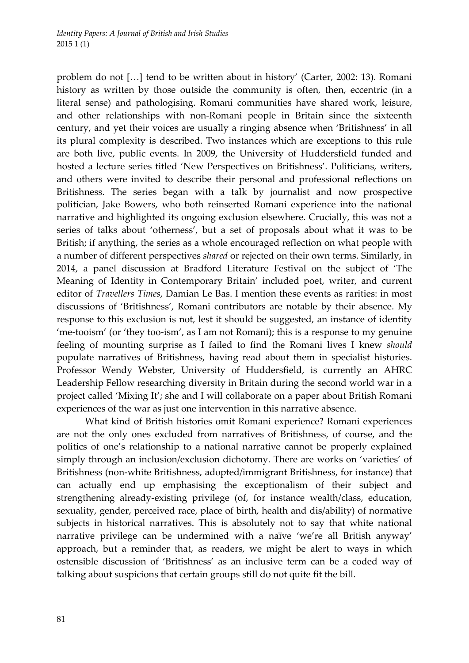problem do not […] tend to be written about in history' (Carter, 2002: 13). Romani history as written by those outside the community is often, then, eccentric (in a literal sense) and pathologising. Romani communities have shared work, leisure, and other relationships with non‐Romani people in Britain since the sixteenth century, and yet their voices are usually a ringing absence when 'Britishness' in all its plural complexity is described. Two instances which are exceptions to this rule are both live, public events. In 2009, the University of Huddersfield funded and hosted a lecture series titled 'New Perspectives on Britishness'. Politicians, writers, and others were invited to describe their personal and professional reflections on Britishness. The series began with a talk by journalist and now prospective politician, Jake Bowers, who both reinserted Romani experience into the national narrative and highlighted its ongoing exclusion elsewhere. Crucially, this was not a series of talks about 'otherness', but a set of proposals about what it was to be British; if anything, the series as a whole encouraged reflection on what people with a number of different perspectives *shared* or rejected on their own terms. Similarly, in 2014, a panel discussion at Bradford Literature Festival on the subject of 'The Meaning of Identity in Contemporary Britain' included poet, writer, and current editor of *Travellers Times*, Damian Le Bas. I mention these events as rarities: in most discussions of 'Britishness', Romani contributors are notable by their absence. My response to this exclusion is not, lest it should be suggested, an instance of identity 'me-tooism' (or 'they too-ism', as I am not Romani); this is a response to my genuine feeling of mounting surprise as I failed to find the Romani lives I knew *should* populate narratives of Britishness, having read about them in specialist histories. Professor Wendy Webster, University of Huddersfield, is currently an AHRC Leadership Fellow researching diversity in Britain during the second world war in a project called 'Mixing It'; she and I will collaborate on a paper about British Romani experiences of the war as just one intervention in this narrative absence.

What kind of British histories omit Romani experience? Romani experiences are not the only ones excluded from narratives of Britishness, of course, and the politics of one's relationship to a national narrative cannot be properly explained simply through an inclusion/exclusion dichotomy. There are works on 'varieties' of Britishness (non‐white Britishness, adopted/immigrant Britishness, for instance) that can actually end up emphasising the exceptionalism of their subject and strengthening already‐existing privilege (of, for instance wealth/class, education, sexuality, gender, perceived race, place of birth, health and dis/ability) of normative subjects in historical narratives. This is absolutely not to say that white national narrative privilege can be undermined with a naïve 'we're all British anyway' approach, but a reminder that, as readers, we might be alert to ways in which ostensible discussion of 'Britishness' as an inclusive term can be a coded way of talking about suspicions that certain groups still do not quite fit the bill.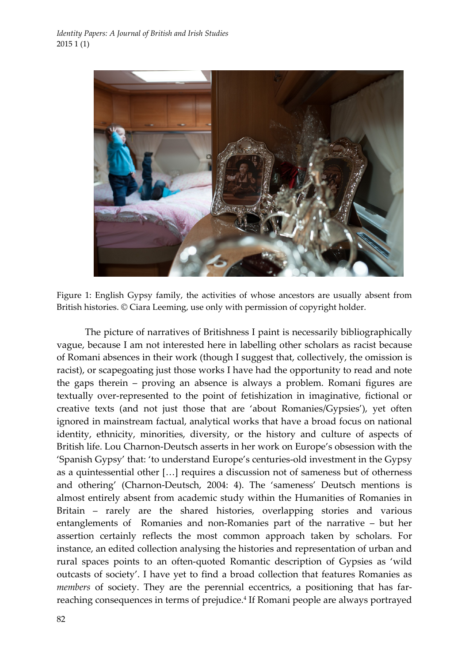

Figure 1: English Gypsy family, the activities of whose ancestors are usually absent from British histories. © Ciara Leeming, use only with permission of copyright holder.

The picture of narratives of Britishness I paint is necessarily bibliographically vague, because I am not interested here in labelling other scholars as racist because of Romani absences in their work (though I suggest that, collectively, the omission is racist), or scapegoating just those works I have had the opportunity to read and note the gaps therein – proving an absence is always a problem. Romani figures are textually over‐represented to the point of fetishization in imaginative, fictional or creative texts (and not just those that are 'about Romanies/Gypsies'), yet often ignored in mainstream factual, analytical works that have a broad focus on national identity, ethnicity, minorities, diversity, or the history and culture of aspects of British life. Lou Charnon‐Deutsch asserts in her work on Europe's obsession with the 'Spanish Gypsy' that: 'to understand Europe's centuries‐old investment in the Gypsy as a quintessential other […] requires a discussion not of sameness but of otherness and othering' (Charnon‐Deutsch, 2004: 4). The 'sameness' Deutsch mentions is almost entirely absent from academic study within the Humanities of Romanies in Britain – rarely are the shared histories, overlapping stories and various entanglements of Romanies and non-Romanies part of the narrative – but her assertion certainly reflects the most common approach taken by scholars. For instance, an edited collection analysing the histories and representation of urban and rural spaces points to an often‐quoted Romantic description of Gypsies as 'wild outcasts of society'. I have yet to find a broad collection that features Romanies as *members* of society. They are the perennial eccentrics, a positioning that has farreaching consequences in terms of prejudice.4 If Romani people are always portrayed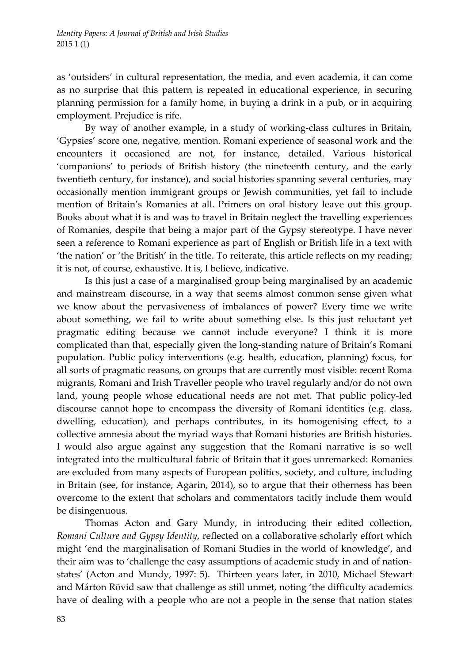as 'outsiders' in cultural representation, the media, and even academia, it can come as no surprise that this pattern is repeated in educational experience, in securing planning permission for a family home, in buying a drink in a pub, or in acquiring employment. Prejudice is rife.

By way of another example, in a study of working‐class cultures in Britain, 'Gypsies' score one, negative, mention. Romani experience of seasonal work and the encounters it occasioned are not, for instance, detailed. Various historical 'companions' to periods of British history (the nineteenth century, and the early twentieth century, for instance), and social histories spanning several centuries, may occasionally mention immigrant groups or Jewish communities, yet fail to include mention of Britain's Romanies at all. Primers on oral history leave out this group. Books about what it is and was to travel in Britain neglect the travelling experiences of Romanies, despite that being a major part of the Gypsy stereotype. I have never seen a reference to Romani experience as part of English or British life in a text with 'the nation' or 'the British' in the title. To reiterate, this article reflects on my reading; it is not, of course, exhaustive. It is, I believe, indicative.

Is this just a case of a marginalised group being marginalised by an academic and mainstream discourse, in a way that seems almost common sense given what we know about the pervasiveness of imbalances of power? Every time we write about something, we fail to write about something else. Is this just reluctant yet pragmatic editing because we cannot include everyone? I think it is more complicated than that, especially given the long‐standing nature of Britain's Romani population. Public policy interventions (e.g. health, education, planning) focus, for all sorts of pragmatic reasons, on groups that are currently most visible: recent Roma migrants, Romani and Irish Traveller people who travel regularly and/or do not own land, young people whose educational needs are not met. That public policy‐led discourse cannot hope to encompass the diversity of Romani identities (e.g. class, dwelling, education), and perhaps contributes, in its homogenising effect, to a collective amnesia about the myriad ways that Romani histories are British histories. I would also argue against any suggestion that the Romani narrative is so well integrated into the multicultural fabric of Britain that it goes unremarked: Romanies are excluded from many aspects of European politics, society, and culture, including in Britain (see, for instance, Agarin, 2014), so to argue that their otherness has been overcome to the extent that scholars and commentators tacitly include them would be disingenuous.

Thomas Acton and Gary Mundy, in introducing their edited collection, *Romani Culture and Gypsy Identity*, reflected on a collaborative scholarly effort which might 'end the marginalisation of Romani Studies in the world of knowledge', and their aim was to 'challenge the easy assumptions of academic study in and of nation‐ states' (Acton and Mundy, 1997: 5). Thirteen years later, in 2010, Michael Stewart and Márton Rövid saw that challenge as still unmet, noting 'the difficulty academics have of dealing with a people who are not a people in the sense that nation states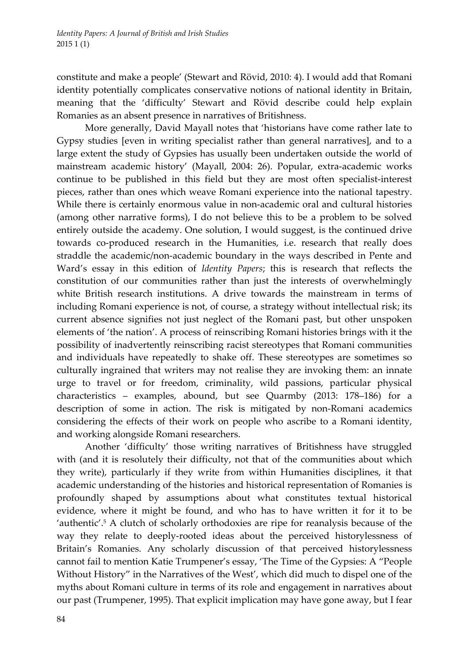constitute and make a people' (Stewart and Rövid, 2010: 4). I would add that Romani identity potentially complicates conservative notions of national identity in Britain, meaning that the 'difficulty' Stewart and Rövid describe could help explain Romanies as an absent presence in narratives of Britishness.

More generally, David Mayall notes that 'historians have come rather late to Gypsy studies [even in writing specialist rather than general narratives], and to a large extent the study of Gypsies has usually been undertaken outside the world of mainstream academic history' (Mayall, 2004: 26). Popular, extra‐academic works continue to be published in this field but they are most often specialist-interest pieces, rather than ones which weave Romani experience into the national tapestry. While there is certainly enormous value in non-academic oral and cultural histories (among other narrative forms), I do not believe this to be a problem to be solved entirely outside the academy. One solution, I would suggest, is the continued drive towards co‐produced research in the Humanities, i.e. research that really does straddle the academic/non‐academic boundary in the ways described in Pente and Ward's essay in this edition of *Identity Papers*; this is research that reflects the constitution of our communities rather than just the interests of overwhelmingly white British research institutions. A drive towards the mainstream in terms of including Romani experience is not, of course, a strategy without intellectual risk; its current absence signifies not just neglect of the Romani past, but other unspoken elements of 'the nation'. A process of reinscribing Romani histories brings with it the possibility of inadvertently reinscribing racist stereotypes that Romani communities and individuals have repeatedly to shake off. These stereotypes are sometimes so culturally ingrained that writers may not realise they are invoking them: an innate urge to travel or for freedom, criminality, wild passions, particular physical characteristics – examples, abound, but see Quarmby (2013: 178–186) for a description of some in action. The risk is mitigated by non‐Romani academics considering the effects of their work on people who ascribe to a Romani identity, and working alongside Romani researchers.

Another 'difficulty' those writing narratives of Britishness have struggled with (and it is resolutely their difficulty, not that of the communities about which they write), particularly if they write from within Humanities disciplines, it that academic understanding of the histories and historical representation of Romanies is profoundly shaped by assumptions about what constitutes textual historical evidence, where it might be found, and who has to have written it for it to be 'authentic'.<sup>5</sup> A clutch of scholarly orthodoxies are ripe for reanalysis because of the way they relate to deeply‐rooted ideas about the perceived historylessness of Britain's Romanies. Any scholarly discussion of that perceived historylessness cannot fail to mention Katie Trumpener's essay, 'The Time of the Gypsies: A "People Without History" in the Narratives of the West', which did much to dispel one of the myths about Romani culture in terms of its role and engagement in narratives about our past (Trumpener, 1995). That explicit implication may have gone away, but I fear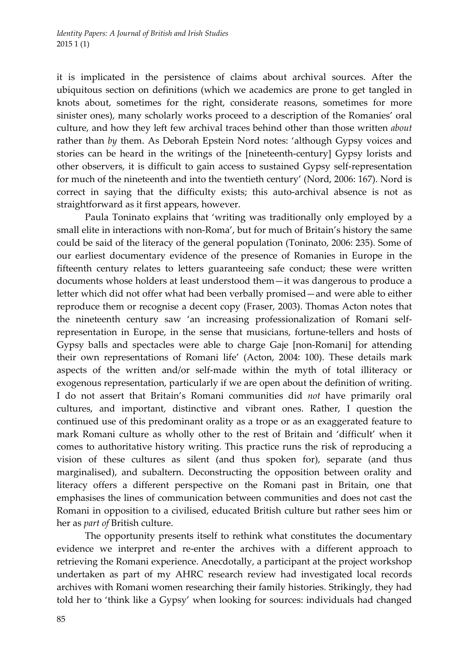it is implicated in the persistence of claims about archival sources. After the ubiquitous section on definitions (which we academics are prone to get tangled in knots about, sometimes for the right, considerate reasons, sometimes for more sinister ones), many scholarly works proceed to a description of the Romanies' oral culture, and how they left few archival traces behind other than those written *about* rather than *by* them. As Deborah Epstein Nord notes: 'although Gypsy voices and stories can be heard in the writings of the [nineteenth‐century] Gypsy lorists and other observers, it is difficult to gain access to sustained Gypsy self‐representation for much of the nineteenth and into the twentieth century' (Nord, 2006: 167). Nord is correct in saying that the difficulty exists; this auto-archival absence is not as straightforward as it first appears, however.

Paula Toninato explains that 'writing was traditionally only employed by a small elite in interactions with non‐Roma', but for much of Britain's history the same could be said of the literacy of the general population (Toninato, 2006: 235). Some of our earliest documentary evidence of the presence of Romanies in Europe in the fifteenth century relates to letters guaranteeing safe conduct; these were written documents whose holders at least understood them—it was dangerous to produce a letter which did not offer what had been verbally promised—and were able to either reproduce them or recognise a decent copy (Fraser, 2003). Thomas Acton notes that the nineteenth century saw 'an increasing professionalization of Romani selfrepresentation in Europe, in the sense that musicians, fortune-tellers and hosts of Gypsy balls and spectacles were able to charge Gaje [non‐Romani] for attending their own representations of Romani life' (Acton, 2004: 100). These details mark aspects of the written and/or self‐made within the myth of total illiteracy or exogenous representation, particularly if we are open about the definition of writing. I do not assert that Britain's Romani communities did *not* have primarily oral cultures, and important, distinctive and vibrant ones. Rather, I question the continued use of this predominant orality as a trope or as an exaggerated feature to mark Romani culture as wholly other to the rest of Britain and 'difficult' when it comes to authoritative history writing. This practice runs the risk of reproducing a vision of these cultures as silent (and thus spoken for), separate (and thus marginalised), and subaltern. Deconstructing the opposition between orality and literacy offers a different perspective on the Romani past in Britain, one that emphasises the lines of communication between communities and does not cast the Romani in opposition to a civilised, educated British culture but rather sees him or her as *part of* British culture.

The opportunity presents itself to rethink what constitutes the documentary evidence we interpret and re-enter the archives with a different approach to retrieving the Romani experience. Anecdotally, a participant at the project workshop undertaken as part of my AHRC research review had investigated local records archives with Romani women researching their family histories. Strikingly, they had told her to 'think like a Gypsy' when looking for sources: individuals had changed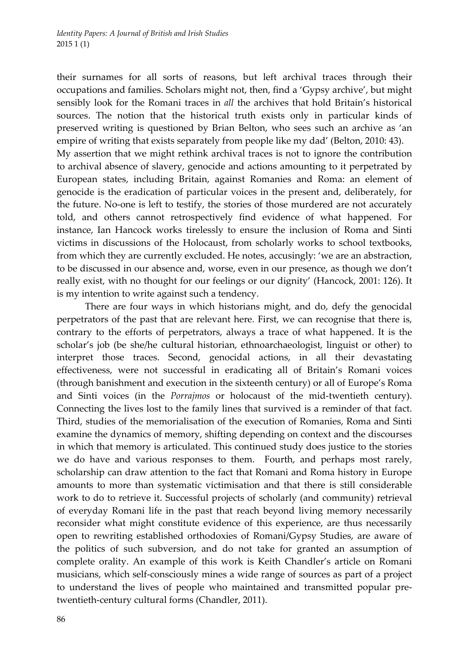their surnames for all sorts of reasons, but left archival traces through their occupations and families. Scholars might not, then, find a 'Gypsy archive', but might sensibly look for the Romani traces in *all* the archives that hold Britain's historical sources. The notion that the historical truth exists only in particular kinds of preserved writing is questioned by Brian Belton, who sees such an archive as 'an empire of writing that exists separately from people like my dad' (Belton, 2010: 43). My assertion that we might rethink archival traces is not to ignore the contribution to archival absence of slavery, genocide and actions amounting to it perpetrated by European states, including Britain, against Romanies and Roma: an element of genocide is the eradication of particular voices in the present and, deliberately, for the future. No-one is left to testify, the stories of those murdered are not accurately told, and others cannot retrospectively find evidence of what happened. For instance, Ian Hancock works tirelessly to ensure the inclusion of Roma and Sinti victims in discussions of the Holocaust, from scholarly works to school textbooks, from which they are currently excluded. He notes, accusingly: 'we are an abstraction, to be discussed in our absence and, worse, even in our presence, as though we don't really exist, with no thought for our feelings or our dignity' (Hancock, 2001: 126). It is my intention to write against such a tendency.

There are four ways in which historians might, and do, defy the genocidal perpetrators of the past that are relevant here. First, we can recognise that there is, contrary to the efforts of perpetrators, always a trace of what happened. It is the scholar's job (be she/he cultural historian, ethnoarchaeologist, linguist or other) to interpret those traces. Second, genocidal actions, in all their devastating effectiveness, were not successful in eradicating all of Britain's Romani voices (through banishment and execution in the sixteenth century) or all of Europe's Roma and Sinti voices (in the *Porrajmos* or holocaust of the mid-twentieth century). Connecting the lives lost to the family lines that survived is a reminder of that fact. Third, studies of the memorialisation of the execution of Romanies, Roma and Sinti examine the dynamics of memory, shifting depending on context and the discourses in which that memory is articulated. This continued study does justice to the stories we do have and various responses to them. Fourth, and perhaps most rarely, scholarship can draw attention to the fact that Romani and Roma history in Europe amounts to more than systematic victimisation and that there is still considerable work to do to retrieve it. Successful projects of scholarly (and community) retrieval of everyday Romani life in the past that reach beyond living memory necessarily reconsider what might constitute evidence of this experience, are thus necessarily open to rewriting established orthodoxies of Romani/Gypsy Studies, are aware of the politics of such subversion, and do not take for granted an assumption of complete orality. An example of this work is Keith Chandler's article on Romani musicians, which self‐consciously mines a wide range of sources as part of a project to understand the lives of people who maintained and transmitted popular pretwentieth-century cultural forms (Chandler, 2011).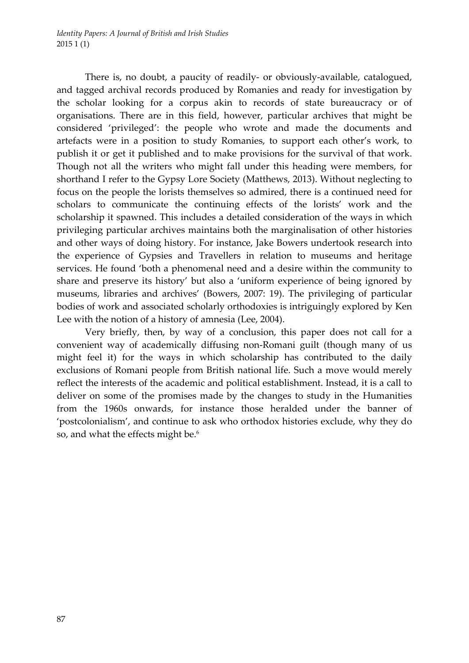There is, no doubt, a paucity of readily- or obviously-available, catalogued, and tagged archival records produced by Romanies and ready for investigation by the scholar looking for a corpus akin to records of state bureaucracy or of organisations. There are in this field, however, particular archives that might be considered 'privileged': the people who wrote and made the documents and artefacts were in a position to study Romanies, to support each other's work, to publish it or get it published and to make provisions for the survival of that work. Though not all the writers who might fall under this heading were members, for shorthand I refer to the Gypsy Lore Society (Matthews, 2013). Without neglecting to focus on the people the lorists themselves so admired, there is a continued need for scholars to communicate the continuing effects of the lorists' work and the scholarship it spawned. This includes a detailed consideration of the ways in which privileging particular archives maintains both the marginalisation of other histories and other ways of doing history. For instance, Jake Bowers undertook research into the experience of Gypsies and Travellers in relation to museums and heritage services. He found 'both a phenomenal need and a desire within the community to share and preserve its history' but also a 'uniform experience of being ignored by museums, libraries and archives' (Bowers, 2007: 19). The privileging of particular bodies of work and associated scholarly orthodoxies is intriguingly explored by Ken Lee with the notion of a history of amnesia (Lee, 2004).

Very briefly, then, by way of a conclusion, this paper does not call for a convenient way of academically diffusing non‐Romani guilt (though many of us might feel it) for the ways in which scholarship has contributed to the daily exclusions of Romani people from British national life. Such a move would merely reflect the interests of the academic and political establishment. Instead, it is a call to deliver on some of the promises made by the changes to study in the Humanities from the 1960s onwards, for instance those heralded under the banner of 'postcolonialism', and continue to ask who orthodox histories exclude, why they do so, and what the effects might be.<sup>6</sup>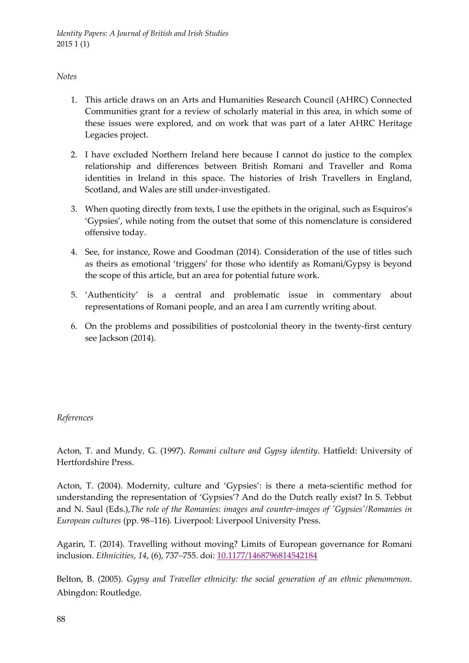### *Notes*

- 1. This article draws on an Arts and Humanities Research Council (AHRC) Connected Communities grant for a review of scholarly material in this area, in which some of these issues were explored, and on work that was part of a later AHRC Heritage Legacies project.
- 2. I have excluded Northern Ireland here because I cannot do justice to the complex relationship and differences between British Romani and Traveller and Roma identities in Ireland in this space. The histories of Irish Travellers in England, Scotland, and Wales are still under‐investigated.
- 3. When quoting directly from texts, I use the epithets in the original, such as Esquiros's 'Gypsies', while noting from the outset that some of this nomenclature is considered offensive today.
- 4. See, for instance, Rowe and Goodman (2014). Consideration of the use of titles such as theirs as emotional 'triggers' for those who identify as Romani/Gypsy is beyond the scope of this article, but an area for potential future work.
- 5. 'Authenticity' is a central and problematic issue in commentary about representations of Romani people, and an area I am currently writing about.
- 6. On the problems and possibilities of postcolonial theory in the twenty‐first century see Jackson (2014).

# *References*

Acton, T. and Mundy*,* G. (1997). *Romani culture and Gypsy identity*. Hatfield: University of Hertfordshire Press.

Acton, T. (2004). Modernity, culture and 'Gypsies': is there a meta‐scientific method for understanding the representation of 'Gypsies'? And do the Dutch really exist? In S. Tebbut and N. Saul (Eds.),*The role of the Romanies: images and counter‐images of ʹGypsiesʹ/Romanies in European cultures* (pp. 98*–*116)*.* Liverpool: Liverpool University Press.

Agarin, T. (2014). Travelling without moving? Limits of European governance for Romani inclusion. *Ethnicities*, *14*, (6), 737*–*755. doi: 10.1177/1468796814542184

Belton, B. (2005). *Gypsy and Traveller ethnicity: the social generation of an ethnic phenomenon*. Abingdon: Routledge.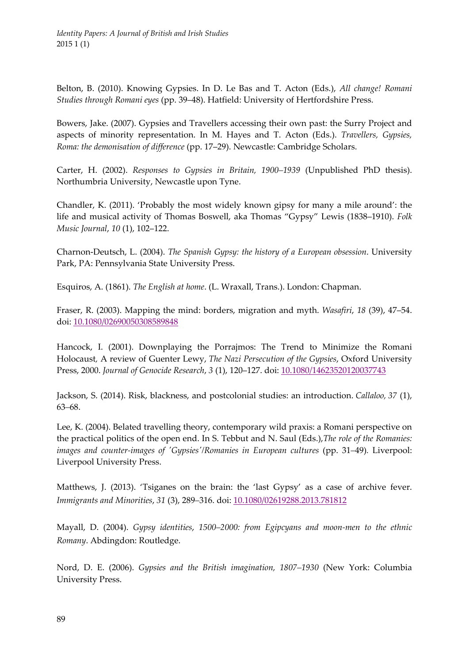Belton, B. (2010). Knowing Gypsies. In D. Le Bas and T. Acton (Eds.), *All change! Romani Studies through Romani eyes* (pp. 39–48). Hatfield: University of Hertfordshire Press.

Bowers, Jake. (2007). Gypsies and Travellers accessing their own past: the Surry Project and aspects of minority representation. In M. Hayes and T. Acton (Eds.). *Travellers, Gypsies, Roma: the demonisation of difference* (pp. 17–29). Newcastle: Cambridge Scholars.

Carter, H. (2002). *Responses to Gypsies in Britain, 1900–1939* (Unpublished PhD thesis). Northumbria University, Newcastle upon Tyne.

Chandler, K. (2011). 'Probably the most widely known gipsy for many a mile around': the life and musical activity of Thomas Boswell, aka Thomas "Gypsy" Lewis (1838–1910). *Folk Music Journal*, *10* (1), 102–122.

Charnon‐Deutsch, L. (2004). *The Spanish Gypsy: the history of a European obsession*. University Park, PA: Pennsylvania State University Press.

Esquiros, A. (1861). *The English at home*. (L. Wraxall, Trans.). London: Chapman.

Fraser, R. (2003). Mapping the mind: borders, migration and myth. *Wasafiri*, *18* (39), 47–54. doi: 10.1080/02690050308589848

Hancock, I. (2001). Downplaying the Porrajmos: The Trend to Minimize the Romani Holocaust*,* A review of Guenter Lewy, *The Nazi Persecution of the Gypsies*, Oxford University Press, 2000. *Journal of Genocide Research*, *3* (1), 120–127. doi: 10.1080/14623520120037743

Jackson, S. (2014). Risk, blackness, and postcolonial studies: an introduction. *Callaloo, 37* (1), 63*–*68.

Lee, K. (2004). Belated travelling theory, contemporary wild praxis: a Romani perspective on the practical politics of the open end. In S. Tebbut and N. Saul (Eds.),*The role of the Romanies: images and counter‐images of ʹGypsiesʹ/Romanies in European cultures* (pp. 31*–*49)*.* Liverpool: Liverpool University Press.

Matthews, J. (2013). 'Tsiganes on the brain: the 'last Gypsy' as a case of archive fever. *Immigrants and Minorities*, *31* (3), 289*–*316. doi: 10.1080/02619288.2013.781812

Mayall, D. (2004). *Gypsy identities*, *1500–2000: from Egipcyans and moon‐men to the ethnic Romany*. Abdingdon: Routledge.

Nord, D. E. (2006). *Gypsies and the British imagination, 1807–1930* (New York: Columbia University Press.